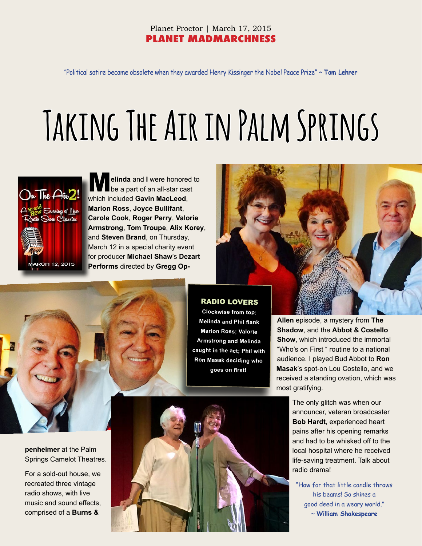# Planet Proctor | March 17, 2015 **PLANET MADMARCHNESS**

"Political satire became obsolete when they awarded Henry Kissinger the Nobel Peace Prize" ~ **Tom Lehrer**

# **Taking The Air in Palm Springs**



M**elinda** and **I** were honored to be a part of an all-star cast which included **Gavin MacLeod**, **Marion Ross**, **Joyce Bullifant**, **Carole Cook**, **Roger Perry**, **Valorie Armstrong**, **Tom Troupe**, **Alix Korey**, and **Steven Brand**, on Thursday, March 12 in a special charity event for producer **Michael Shaw**'s **Dezart Performs** directed by **Gregg Op-**





# **penheimer** at the Palm Springs Camelot Theatres.

For a sold-out house, we recreated three vintage radio shows, with live music and sound effects, comprised of a **Burns &** 

#### RADIO LOVERS

**Clockwise from top: Melinda and Phil flank Marion Ross; Valorie Armstrong and Melinda caught in the act; Phil with Ron Masak deciding who goes on first!**

**Allen** episode, a mystery from **The Shadow**, and the **Abbot & Costello Show**, which introduced the immortal "Who's on First " routine to a national audience. I played Bud Abbot to **Ron Masak**'s spot-on Lou Costello, and we received a standing ovation, which was most gratifying.

> The only glitch was when our announcer, veteran broadcaster **Bob Hardt**, experienced heart pains after his opening remarks and had to be whisked off to the local hospital where he received life-saving treatment. Talk about radio drama!

"How far that little candle throws his beams! So shines a good deed in a weary world." ~ **William Shakespeare**

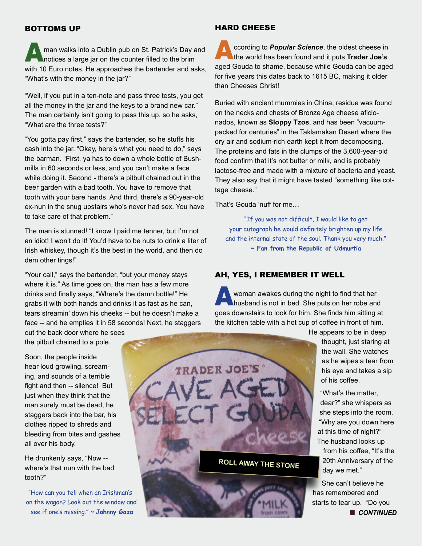#### BOTTOMS UP

man walks into a Dublin pub on St. Patrick's Day and notices a large jar on the counter filled to the brim with 10 Euro notes. He approaches the bartender and asks, "What's with the money in the jar?"

"Well, if you put in a ten-note and pass three tests, you get all the money in the jar and the keys to a brand new car." The man certainly isn't going to pass this up, so he asks, "What are the three tests?"

"You gotta pay first," says the bartender, so he stuffs his cash into the jar. "Okay, here's what you need to do," says the barman. "First. ya has to down a whole bottle of Bushmills in 60 seconds or less, and you can't make a face while doing it. Second - there's a pitbull chained out in the beer garden with a bad tooth. You have to remove that tooth with your bare hands. And third, there's a 90-year-old ex-nun in the snug upstairs who's never had sex. You have to take care of that problem."

The man is stunned! "I know I paid me tenner, but I'm not an idiot! I won't do it! You'd have to be nuts to drink a liter of Irish whiskey, though it's the best in the world, and then do dem other tings!"

"Your call," says the bartender, "but your money stays where it is." As time goes on, the man has a few more drinks and finally says, "Where's the damn bottle!" He grabs it with both hands and drinks it as fast as he can, tears streamin' down his cheeks -- but he doesn't make a face -- and he empties it in 58 seconds! Next, he staggers

out the back door where he sees the pitbull chained to a pole.

Soon, the people inside hear loud growling, screaming, and sounds of a terrible fight and then -- silence! But just when they think that the man surely must be dead, he staggers back into the bar, his clothes ripped to shreds and bleeding from bites and gashes all over his body.

He drunkenly says, "Now - where's that nun with the bad tooth?"

"How can you tell when an Irishman's on the wagon? Look out the window and see if one's missing." ~ **Johnny Gaza**

#### HARD CHEESE

ccording to **Popular Science**, the oldest cheese in the world has been found and it puts **Trader Joe's** aged Gouda to shame, because while Gouda can be aged for five years this dates back to 1615 BC, making it older than Cheeses Christ!

Buried with ancient mummies in China, residue was found on the necks and chests of Bronze Age cheese aficionados, known as **Sloppy Tzos**, and has been "vacuumpacked for centuries" in the Taklamakan Desert where the dry air and sodium-rich earth kept it from decomposing. The proteins and fats in the clumps of the 3,600-year-old food confirm that it's not butter or milk, and is probably lactose-free and made with a mixture of bacteria and yeast. They also say that it might have tasted "something like cottage cheese."

That's Gouda 'nuff for me…

"If you was not difficult, I would like to get your autograph he would definitely brighten up my life and the internal state of the soul. Thank you very much." **~ Fan from the Republic of Udmurtia**

#### AH, YES, I REMEMBER IT WELL

woman awakes during the night to find that her husband is not in bed. She puts on her robe and goes downstairs to look for him. She finds him sitting at the kitchen table with a hot cup of coffee in front of him.



He appears to be in deep thought, just staring at the wall. She watches as he wipes a tear from his eye and takes a sip of his coffee.

"What's the matter, dear?" she whispers as she steps into the room. "Why are you down here at this time of night?" The husband looks up from his coffee, "It's the 20th Anniversary of the day we met."

She can't believe he has remembered and starts to tear up. "Do you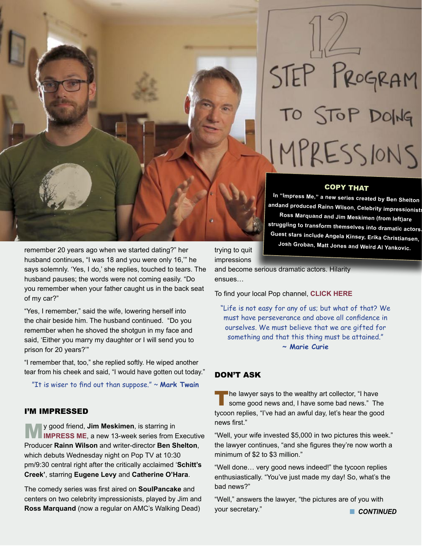

remember 20 years ago when we started dating?" her husband continues, "I was 18 and you were only 16,'" he says solemnly. 'Yes, I do,' she replies, touched to tears. The husband pauses; the words were not coming easily. "Do you remember when your father caught us in the back seat of my car?"

"Yes, I remember," said the wife, lowering herself into the chair beside him. The husband continued. "Do you remember when he shoved the shotgun in my face and said, 'Either you marry my daughter or I will send you to prison for 20 years?'"

"I remember that, too," she replied softly. He wiped another tear from his cheek and said, "I would have gotten out today."

"It is wiser to find out than suppose." ~ **Mark Twain**

#### I'M IMPRESSED

**[IMPRESS ME](http://poptv.com/impress_me/?post=112260282218)**, a new 13-week series from Executive Producer **Rainn Wilson** and writer-director **Ben Shelton**, which debuts Wednesday night on Pop TV at 10:30 pm/9:30 central right after the critically acclaimed '**Schitt's Creek'**, starring **Eugene Levy** and **Catherine O'Hara**.

The comedy series was first aired on **SoulPancake** and centers on two celebrity impressionists, played by Jim and **Ross Marquand** (now a regular on AMC's Walking Dead)

STEP PROGRAM TO STOP DOING MPRESSIONS

#### COPY THAT

**In "Impress Me," a new series created by Ben Shelton andand produced Rainn Wilson, Celebrity impressionists Ross Marquand and Jim Meskimen (from left)are struggling to transform themselves into dramatic actors. Guest stars include Angela Kinsey, Erika Christiansen, Josh Groban, Matt Jones and Weird Al Yankovic.**

trying to quit impressions

and become serious dramatic actors. Hilarity ensues…

To find your local Pop channel, **[CLICK HERE](http://www.poptv.com)**

"Life is not easy for any of us; but what of that? We must have perseverance and above all confidence in ourselves. We must believe that we are gifted for something and that this thing must be attained." **~ Marie Curie**

### DON'T ASK

The lawyer says to the wealthy art collector, "I have some good news and, I have some bad news." The tycoon replies, "I've had an awful day, let's hear the good news first."

"Well, your wife invested \$5,000 in two pictures this week." the lawyer continues, "and she figures they're now worth a minimum of \$2 to \$3 million."

"Well done… very good news indeed!" the tycoon replies enthusiastically. "You've just made my day! So, what's the bad news?"

"Well," answers the lawyer, "the pictures are of you with your secretary." **Notify the CONTINUED**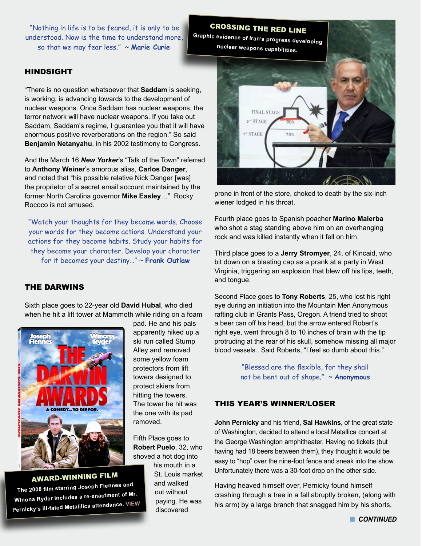"Nothing in life is to be feared, it is only to be understood. Now is the time to understand more, so that we may fear less." ~ **Marie Curie**

#### HINDSIGHT

"There is no question whatsoever that **Saddam** is seeking, is working, is advancing towards to the development of nuclear weapons. Once Saddam has nuclear weapons, the terror network will have nuclear weapons. If you take out Saddam, Saddam's regime, I guarantee you that it will have enormous positive reverberations on the region." So said **Benjamin Netanyahu**, in his 2002 testimony to Congress.

And the March 16 *New Yorker*'s "Talk of the Town" referred to **Anthony Weiner**'s amorous alias, **Carlos Danger**, and noted that "his possible relative Nick Danger [was] the proprietor of a secret email account maintained by the former North Carolina governor **Mike Easley**…" Rocky Rococo is not amused.

"Watch your thoughts for they become words. Choose your words for they become actions. Understand your actions for they become habits. Study your habits for they become your character. Develop your character for it becomes your destiny…" ~ **Frank Outlaw**

### THE DARWINS

Sixth place goes to 22-year old **David Hubal**, who died when he hit a lift tower at Mammoth while riding on a foam



AWARD-WINNING FILM

**The 2008 film starring Joseph Fiennes an<sup>d</sup> Winona Ryder includes a re-enactment of Mr. Pernicky's ill-fated Metalilica attendance. [VIEW](https://www.youtube.com/watch?v=AMvWWcajsYo)**

pad. He and his pals apparently hiked up a ski run called Stump Alley and removed some yellow foam protectors from lift towers designed to protect skiers from hitting the towers. The tower he hit was the one with its pad removed.

Fifth Place goes to **Robert Puelo**, 32, who shoved a hot dog into

> his mouth in a St. Louis market and walked out without paying. He was discovered



prone in front of the store, choked to death by the six-inch wiener lodged in his throat.

Fourth place goes to Spanish poacher **Marino Malerba** who shot a stag standing above him on an overhanging rock and was killed instantly when it fell on him.

Third place goes to a **Jerry Stromyer**, 24, of Kincaid, who bit down on a blasting cap as a prank at a party in West Virginia, triggering an explosion that blew off his lips, teeth, and tongue.

Second Place goes to **Tony Roberts**, 25, who lost his right eye during an initiation into the Mountain Men Anonymous rafting club in Grants Pass, Oregon. A friend tried to shoot a beer can off his head, but the arrow entered Robert's right eye, went through 8 to 10 inches of brain with the tip protruding at the rear of his skull, somehow missing all major blood vessels.. Said Roberts, "I feel so dumb about this."

> "Blessed are the flexible, for they shall not be bent out of shape." ~ **Anonymous**

# THIS YEAR'S WINNER/LOSER

**John Pernicky** and his friend, **Sal Hawkins**, of the great state of Washington, decided to attend a local Metallica concert at the George Washington amphitheater. Having no tickets (but having had 18 beers between them), they thought it would be easy to "hop" over the nine-foot fence and sneak into the show. Unfortunately there was a 30-foot drop on the other side.

Having heaved himself over, Pernicky found himself crashing through a tree in a fall abruptly broken, (along with his arm) by a large branch that snagged him by his shorts,